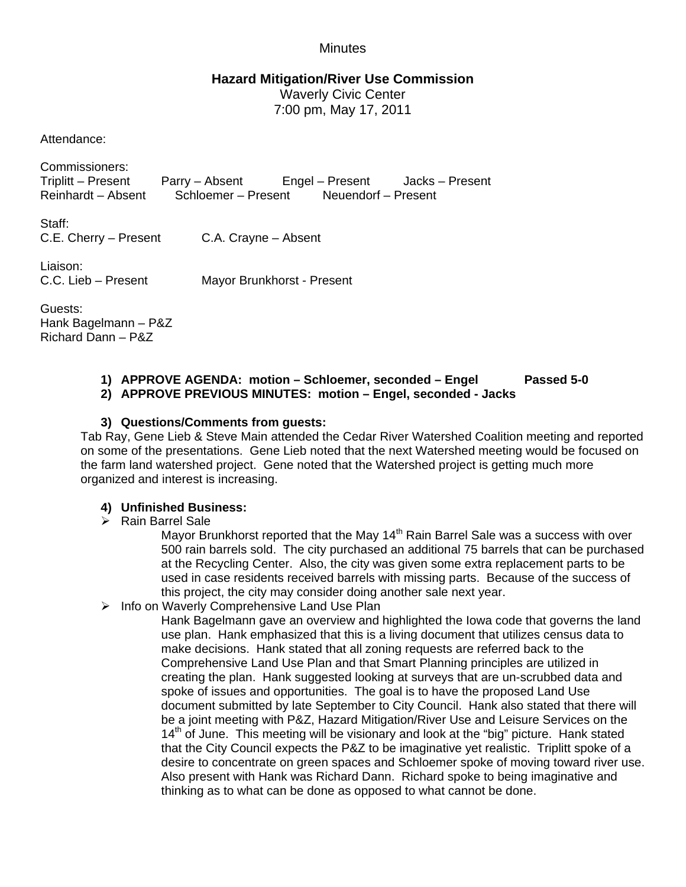# **Minutes**

# **Hazard Mitigation/River Use Commission**

Waverly Civic Center 7:00 pm, May 17, 2011

Attendance:

Commissioners: Triplitt – Present Parry – Absent Engel – Present Jacks – Present Reinhardt – Absent Schloemer – Present Neuendorf – Present

Staff: C.E. Cherry – Present C.A. Crayne – Absent

Liaison:

C.C. Lieb – Present Mayor Brunkhorst - Present

Guests: Hank Bagelmann – P&Z Richard Dann – P&Z

#### **1) APPROVE AGENDA: motion – Schloemer, seconded – Engel Passed 5-0 2) APPROVE PREVIOUS MINUTES: motion – Engel, seconded - Jacks**

# **3) Questions/Comments from guests:**

Tab Ray, Gene Lieb & Steve Main attended the Cedar River Watershed Coalition meeting and reported on some of the presentations. Gene Lieb noted that the next Watershed meeting would be focused on the farm land watershed project. Gene noted that the Watershed project is getting much more organized and interest is increasing.

## **4) Unfinished Business:**

## $\triangleright$  Rain Barrel Sale

Mayor Brunkhorst reported that the May 14<sup>th</sup> Rain Barrel Sale was a success with over 500 rain barrels sold. The city purchased an additional 75 barrels that can be purchased at the Recycling Center. Also, the city was given some extra replacement parts to be used in case residents received barrels with missing parts. Because of the success of this project, the city may consider doing another sale next year.

 $\triangleright$  Info on Waverly Comprehensive Land Use Plan

Hank Bagelmann gave an overview and highlighted the Iowa code that governs the land use plan. Hank emphasized that this is a living document that utilizes census data to make decisions. Hank stated that all zoning requests are referred back to the Comprehensive Land Use Plan and that Smart Planning principles are utilized in creating the plan. Hank suggested looking at surveys that are un-scrubbed data and spoke of issues and opportunities. The goal is to have the proposed Land Use document submitted by late September to City Council. Hank also stated that there will be a joint meeting with P&Z, Hazard Mitigation/River Use and Leisure Services on the  $14<sup>th</sup>$  of June. This meeting will be visionary and look at the "big" picture. Hank stated that the City Council expects the P&Z to be imaginative yet realistic. Triplitt spoke of a desire to concentrate on green spaces and Schloemer spoke of moving toward river use. Also present with Hank was Richard Dann. Richard spoke to being imaginative and thinking as to what can be done as opposed to what cannot be done.